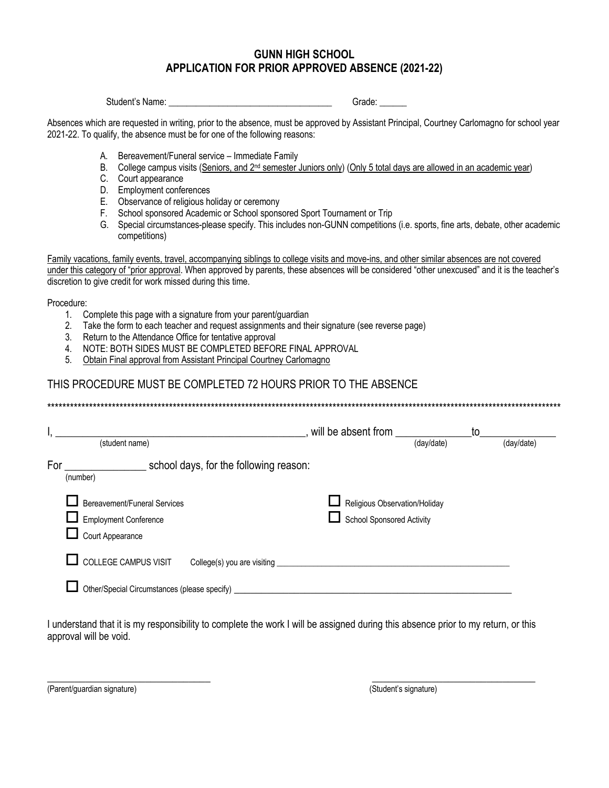## **GUNN HIGH SCHOOL APPLICATION FOR PRIOR APPROVED ABSENCE (2021-22)**

Student's Name: Grade:

Absences which are requested in writing, prior to the absence, must be approved by Assistant Principal, Courtney Carlomagno for school year 2021-22. To qualify, the absence must be for one of the following reasons:

- A. Bereavement/Funeral service Immediate Family
- B. College campus visits (Seniors, and 2<sup>nd</sup> semester Juniors only) (Only 5 total days are allowed in an academic year)
- C. Court appearance
- D. Employment conferences
- E. Observance of religious holiday or ceremony
- F. School sponsored Academic or School sponsored Sport Tournament or Trip
- G. Special circumstances-please specify. This includes non-GUNN competitions (i.e. sports, fine arts, debate, other academic competitions)

Family vacations, family events, travel, accompanying siblings to college visits and move-ins, and other similar absences are not covered under this category of "prior approval. When approved by parents, these absences will be considered "other unexcused" and it is the teacher's discretion to give credit for work missed during this time.

Procedure:

- 1. Complete this page with a signature from your parent/guardian
- 2. Take the form to each teacher and request assignments and their signature (see reverse page)
- 3. Return to the Attendance Office for tentative approval
- 4. NOTE: BOTH SIDES MUST BE COMPLETED BEFORE FINAL APPROVAL
- 5. Obtain Final approval from Assistant Principal Courtney Carlomagno

## THIS PROCEDURE MUST BE COMPLETED 72 HOURS PRIOR TO THE ABSENCE

| (student name)                                                                          | will be absent from<br>(day/date)                                 | to<br>(day/date) |
|-----------------------------------------------------------------------------------------|-------------------------------------------------------------------|------------------|
| school days, for the following reason:<br>For<br>(number)                               |                                                                   |                  |
| <b>Bereavement/Funeral Services</b><br><b>Employment Conference</b><br>Court Appearance | Religious Observation/Holiday<br><b>School Sponsored Activity</b> |                  |
| <b>COLLEGE CAMPUS VISIT</b><br>College(s) you are visiting                              |                                                                   |                  |
| Other/Special Circumstances (please specify) _                                          |                                                                   |                  |

I understand that it is my responsibility to complete the work I will be assigned during this absence prior to my return, or this approval will be void.

(Parent/guardian signature)